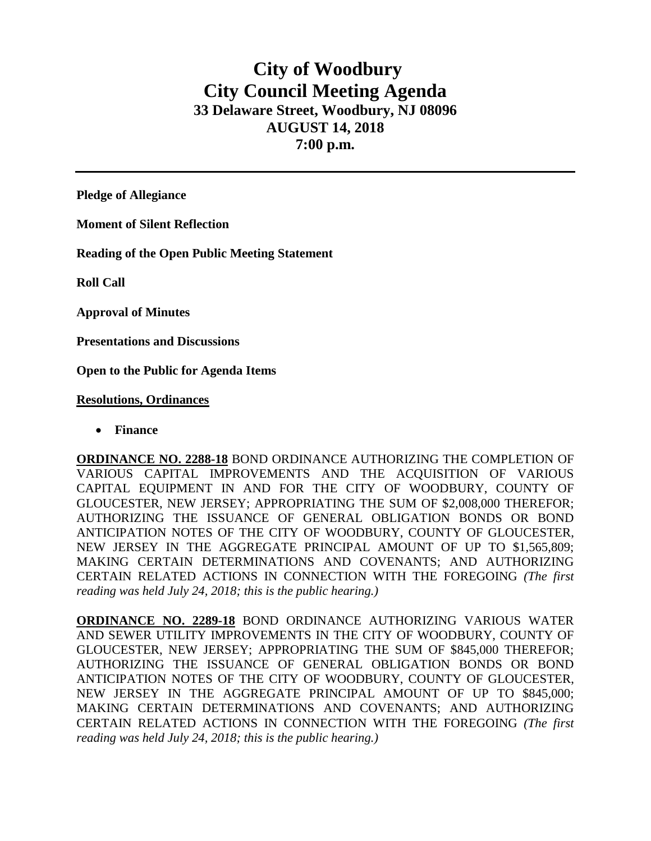## **City of Woodbury City Council Meeting Agenda 33 Delaware Street, Woodbury, NJ 08096 AUGUST 14, 2018 7:00 p.m.**

**Pledge of Allegiance**

**Moment of Silent Reflection**

**Reading of the Open Public Meeting Statement**

**Roll Call**

**Approval of Minutes**

**Presentations and Discussions**

**Open to the Public for Agenda Items**

**Resolutions, Ordinances**

• **Finance** 

**ORDINANCE NO. 2288-18** BOND ORDINANCE AUTHORIZING THE COMPLETION OF VARIOUS CAPITAL IMPROVEMENTS AND THE ACQUISITION OF VARIOUS CAPITAL EQUIPMENT IN AND FOR THE CITY OF WOODBURY, COUNTY OF GLOUCESTER, NEW JERSEY; APPROPRIATING THE SUM OF \$2,008,000 THEREFOR; AUTHORIZING THE ISSUANCE OF GENERAL OBLIGATION BONDS OR BOND ANTICIPATION NOTES OF THE CITY OF WOODBURY, COUNTY OF GLOUCESTER, NEW JERSEY IN THE AGGREGATE PRINCIPAL AMOUNT OF UP TO \$1,565,809; MAKING CERTAIN DETERMINATIONS AND COVENANTS; AND AUTHORIZING CERTAIN RELATED ACTIONS IN CONNECTION WITH THE FOREGOING *(The first reading was held July 24, 2018; this is the public hearing.)*

**ORDINANCE NO. 2289-18** BOND ORDINANCE AUTHORIZING VARIOUS WATER AND SEWER UTILITY IMPROVEMENTS IN THE CITY OF WOODBURY, COUNTY OF GLOUCESTER, NEW JERSEY; APPROPRIATING THE SUM OF \$845,000 THEREFOR; AUTHORIZING THE ISSUANCE OF GENERAL OBLIGATION BONDS OR BOND ANTICIPATION NOTES OF THE CITY OF WOODBURY, COUNTY OF GLOUCESTER, NEW JERSEY IN THE AGGREGATE PRINCIPAL AMOUNT OF UP TO \$845,000; MAKING CERTAIN DETERMINATIONS AND COVENANTS; AND AUTHORIZING CERTAIN RELATED ACTIONS IN CONNECTION WITH THE FOREGOING *(The first reading was held July 24, 2018; this is the public hearing.)*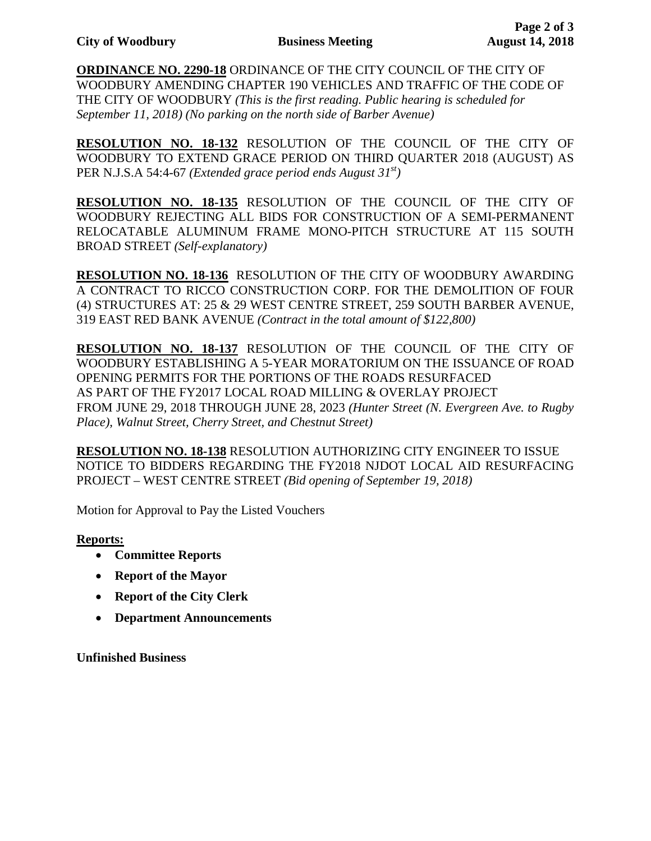**ORDINANCE NO. 2290-18** ORDINANCE OF THE CITY COUNCIL OF THE CITY OF WOODBURY AMENDING CHAPTER 190 VEHICLES AND TRAFFIC OF THE CODE OF THE CITY OF WOODBURY *(This is the first reading. Public hearing is scheduled for September 11, 2018) (No parking on the north side of Barber Avenue)*

**RESOLUTION NO. 18-132** RESOLUTION OF THE COUNCIL OF THE CITY OF WOODBURY TO EXTEND GRACE PERIOD ON THIRD QUARTER 2018 (AUGUST) AS PER N.J.S.A 54:4-67 *(Extended grace period ends August 31st)*

**RESOLUTION NO. 18-135** RESOLUTION OF THE COUNCIL OF THE CITY OF WOODBURY REJECTING ALL BIDS FOR CONSTRUCTION OF A SEMI-PERMANENT RELOCATABLE ALUMINUM FRAME MONO-PITCH STRUCTURE AT 115 SOUTH BROAD STREET *(Self-explanatory)*

**RESOLUTION NO. 18-136** RESOLUTION OF THE CITY OF WOODBURY AWARDING A CONTRACT TO RICCO CONSTRUCTION CORP. FOR THE DEMOLITION OF FOUR (4) STRUCTURES AT: 25 & 29 WEST CENTRE STREET, 259 SOUTH BARBER AVENUE, 319 EAST RED BANK AVENUE *(Contract in the total amount of \$122,800)*

**RESOLUTION NO. 18-137** RESOLUTION OF THE COUNCIL OF THE CITY OF WOODBURY ESTABLISHING A 5-YEAR MORATORIUM ON THE ISSUANCE OF ROAD OPENING PERMITS FOR THE PORTIONS OF THE ROADS RESURFACED AS PART OF THE FY2017 LOCAL ROAD MILLING & OVERLAY PROJECT FROM JUNE 29, 2018 THROUGH JUNE 28, 2023 *(Hunter Street (N. Evergreen Ave. to Rugby Place), Walnut Street, Cherry Street, and Chestnut Street)*

**RESOLUTION NO. 18-138** RESOLUTION AUTHORIZING CITY ENGINEER TO ISSUE NOTICE TO BIDDERS REGARDING THE FY2018 NJDOT LOCAL AID RESURFACING PROJECT – WEST CENTRE STREET *(Bid opening of September 19, 2018)*

Motion for Approval to Pay the Listed Vouchers

## **Reports:**

- **Committee Reports**
- **Report of the Mayor**
- **Report of the City Clerk**
- **Department Announcements**

**Unfinished Business**